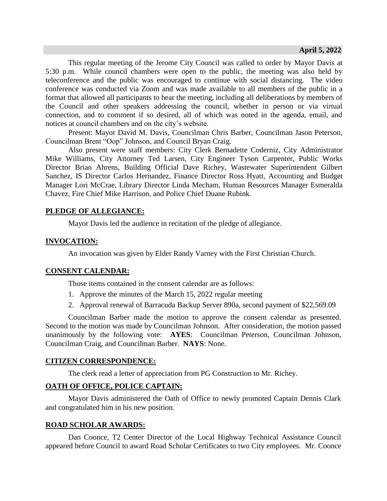This regular meeting of the Jerome City Council was called to order by Mayor Davis at 5:30 p.m. While council chambers were open to the public, the meeting was also held by teleconference and the public was encouraged to continue with social distancing. The video conference was conducted via Zoom and was made available to all members of the public in a format that allowed all participants to hear the meeting, including all deliberations by members of the Council and other speakers addressing the council, whether in person or via virtual connection, and to comment if so desired, all of which was noted in the agenda, email, and notices at council chambers and on the city's website.

Present: Mayor David M. Davis, Councilman Chris Barber, Councilman Jason Peterson, Councilman Brent "Oop" Johnson, and Council Bryan Craig.

Also present were staff members: City Clerk Bernadette Coderniz, City Administrator Mike Williams, City Attorney Ted Larsen, City Engineer Tyson Carpenter, Public Works Director Brian Ahrens, Building Official Dave Richey, Wastewater Superintendent Gilbert Sanchez, IS Director Carlos Hernandez, Finance Director Ross Hyatt, Accounting and Budget Manager Lori McCrae, Library Director Linda Mecham, Human Resources Manager Esmeralda Chavez, Fire Chief Mike Harrison, and Police Chief Duane Rubink.

## **PLEDGE OF ALLEGIANCE:**

Mayor Davis led the audience in recitation of the pledge of allegiance.

#### **INVOCATION:**

An invocation was given by Elder Randy Varney with the First Christian Church.

## **CONSENT CALENDAR:**

Those items contained in the consent calendar are as follows:

- 1. Approve the minutes of the March 15, 2022 regular meeting
- 2. Approval renewal of Barracuda Backup Server 890a, second payment of \$22,569.09

Councilman Barber made the motion to approve the consent calendar as presented. Second to the motion was made by Councilman Johnson. After consideration, the motion passed unanimously by the following vote: **AYES**: Councilman Peterson, Councilman Johnson, Councilman Craig, and Councilman Barber. **NAYS**: None.

#### **CITIZEN CORRESPONDENCE:**

The clerk read a letter of appreciation from PG Construction to Mr. Richey.

## **OATH OF OFFICE, POLICE CAPTAIN:**

Mayor Davis administered the Oath of Office to newly promoted Captain Dennis Clark and congratulated him in his new position.

## **ROAD SCHOLAR AWARDS:**

Dan Coonce, T2 Center Director of the Local Highway Technical Assistance Council appeared before Council to award Road Scholar Certificates to two City employees. Mr. Coonce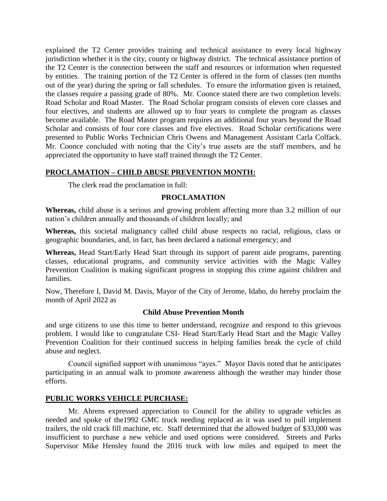explained the T2 Center provides training and technical assistance to every local highway jurisdiction whether it is the city, county or highway district. The technical assistance portion of the T2 Center is the connection between the staff and resources or information when requested by entities. The training portion of the T2 Center is offered in the form of classes (ten months out of the year) during the spring or fall schedules. To ensure the information given is retained, the classes require a passing grade of 80%. Mr. Coonce stated there are two completion levels: Road Scholar and Road Master. The Road Scholar program consists of eleven core classes and four electives, and students are allowed up to four years to complete the program as classes become available. The Road Master program requires an additional four years beyond the Road Scholar and consists of four core classes and five electives. Road Scholar certifications were presented to Public Works Technician Chris Owens and Management Assistant Carla Colfack. Mr. Coonce concluded with noting that the City's true assets are the staff members, and he appreciated the opportunity to have staff trained through the T2 Center.

# **PROCLAMATION – CHILD ABUSE PREVENTION MONTH:**

The clerk read the proclamation in full:

## **PROCLAMATION**

**Whereas,** child abuse is a serious and growing problem affecting more than 3.2 million of our nation's children annually and thousands of children locally; and

**Whereas,** this societal malignancy called child abuse respects no racial, religious, class or geographic boundaries, and, in fact, has been declared a national emergency; and

**Whereas,** Head Start/Early Head Start through its support of parent aide programs, parenting classes, educational programs, and community service activities with the Magic Valley Prevention Coalition is making significant progress in stopping this crime against children and families.

Now, Therefore I, David M. Davis, Mayor of the City of Jerome, Idaho, do hereby proclaim the month of April 2022 as

## **Child Abuse Prevention Month**

and urge citizens to use this time to better understand, recognize and respond to this grievous problem. I would like to congratulate CSI- Head Start/Early Head Start and the Magic Valley Prevention Coalition for their continued success in helping families break the cycle of child abuse and neglect.

Council signified support with unanimous "ayes." Mayor Davis noted that he anticipates participating in an annual walk to promote awareness although the weather may hinder those efforts.

## **PUBLIC WORKS VEHICLE PURCHASE:**

Mr. Ahrens expressed appreciation to Council for the ability to upgrade vehicles as needed and spoke of the1992 GMC truck needing replaced as it was used to pull implement trailers, the old crack fill machine, etc. Staff determined that the allowed budget of \$33,000 was insufficient to purchase a new vehicle and used options were considered. Streets and Parks Supervisor Mike Hensley found the 2016 truck with low miles and equiped to meet the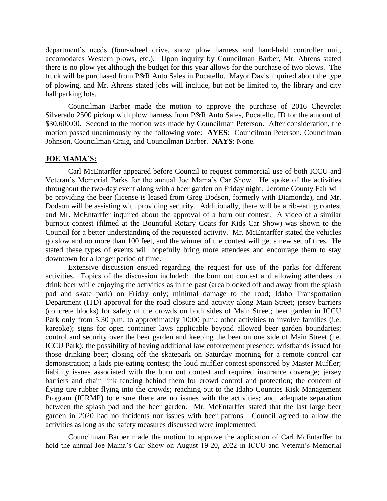department's needs (four-wheel drive, snow plow harness and hand-held controller unit, accomodates Western plows, etc.). Upon inquiry by Councilman Barber, Mr. Ahrens stated there is no plow yet although the budget for this year allows for the purchase of two plows. The truck will be purchased from P&R Auto Sales in Pocatello. Mayor Davis inquired about the type of plowing, and Mr. Ahrens stated jobs will include, but not be limited to, the library and city hall parking lots.

Councilman Barber made the motion to approve the purchase of 2016 Chevrolet Silverado 2500 pickup with plow harness from P&R Auto Sales, Pocatello, ID for the amount of \$30,600.00. Second to the motion was made by Councilman Peterson. After consideration, the motion passed unanimously by the following vote: **AYES**: Councilman Peterson, Councilman Johnson, Councilman Craig, and Councilman Barber. **NAYS**: None.

#### **JOE MAMA'S:**

Carl McEntarffer appeared before Council to request commercial use of both ICCU and Veteran's Memorial Parks for the annual Joe Mama's Car Show. He spoke of the activities throughout the two-day event along with a beer garden on Friday night. Jerome County Fair will be providing the beer (license is leased from Greg Dodson, formerly with Diamondz), and Mr. Dodson will be assisting with providing security. Additionally, there will be a rib-eating contest and Mr. McEntarffer inquired about the approval of a burn out contest. A video of a similar burnout contest (filmed at the Bountiful Rotary Coats for Kids Car Show) was shown to the Council for a better understanding of the requested activity. Mr. McEntarffer stated the vehicles go slow and no more than 100 feet, and the winner of the contest will get a new set of tires. He stated these types of events will hopefully bring more attendees and encourage them to stay downtown for a longer period of time.

Extensive discussion ensued regarding the request for use of the parks for different activities. Topics of the discussion included: the burn out contest and allowing attendees to drink beer while enjoying the activities as in the past (area blocked off and away from the splash pad and skate park) on Friday only; minimal damage to the road; Idaho Transportation Department (ITD) approval for the road closure and activity along Main Street; jersey barriers (concrete blocks) for safety of the crowds on both sides of Main Street; beer garden in ICCU Park only from 5:30 p.m. to approximately 10:00 p.m.; other activities to involve families (i.e. kareoke); signs for open container laws applicable beyond allowed beer garden boundaries; control and security over the beer garden and keeping the beer on one side of Main Street (i.e. ICCU Park); the possibility of having additional law enforcement presence; wristbands issued for those drinking beer; closing off the skatepark on Saturday morning for a remote control car demonstration; a kids pie-eating contest; the loud muffler contest sponsored by Master Muffler; liability issues associated with the burn out contest and required insurance coverage; jersey barriers and chain link fencing behind them for crowd control and protection; the concern of flying tire rubber flying into the crowds; reaching out to the Idaho Counties Risk Management Program (ICRMP) to ensure there are no issues with the activities; and, adequate separation between the splash pad and the beer garden. Mr. McEntarffer stated that the last large beer garden in 2020 had no incidents nor issues with beer patrons. Council agreed to allow the activities as long as the safety measures discussed were implemented.

Councilman Barber made the motion to approve the application of Carl McEntarffer to hold the annual Joe Mama's Car Show on August 19-20, 2022 in ICCU and Veteran's Memorial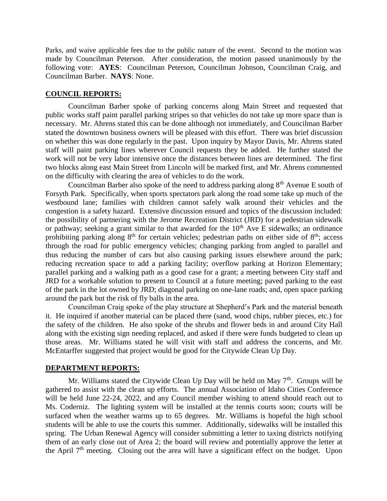Parks, and waive applicable fees due to the public nature of the event. Second to the motion was made by Councilman Peterson. After consideration, the motion passed unanimously by the following vote: **AYES**: Councilman Peterson, Councilman Johnson, Councilman Craig, and Councilman Barber. **NAYS**: None.

#### **COUNCIL REPORTS:**

Councilman Barber spoke of parking concerns along Main Street and requested that public works staff paint parallel parking stripes so that vehicles do not take up more space than is necessary. Mr. Ahrens stated this can be done although not immediately, and Councilman Barber stated the downtown business owners will be pleased with this effort. There was brief discussion on whether this was done regularly in the past. Upon inquiry by Mayor Davis, Mr. Ahrens stated staff will paint parking lines wherever Council requests they be added. He further stated the work will not be very labor intensive once the distances between lines are determined. The first two blocks along east Main Street from Lincoln will be marked first, and Mr. Ahrens commented on the difficulty with clearing the area of vehicles to do the work.

Councilman Barber also spoke of the need to address parking along  $8<sup>th</sup>$  Avenue E south of Forsyth Park. Specifically, when sports spectators park along the road some take up much of the westbound lane; families with children cannot safely walk around their vehicles and the congestion is a safety hazard. Extensive discussion ensued and topics of the discussion included: the possibility of partnering with the Jerome Recreation District (JRD) for a pedestrian sidewalk or pathway; seeking a grant similar to that awarded for the  $10<sup>th</sup>$  Ave E sidewalks; an ordinance prohibiting parking along  $8<sup>th</sup>$  for certain vehicles; pedestrian paths on either side of  $8<sup>th</sup>$ ; access through the road for public emergency vehicles; changing parking from angled to parallel and thus reducing the number of cars but also causing parking issues elsewhere around the park; reducing recreation space to add a parking facility; overflow parking at Horizon Elementary; parallel parking and a walking path as a good case for a grant; a meeting between City staff and JRD for a workable solution to present to Council at a future meeting; paved parking to the east of the park in the lot owned by JRD; diagonal parking on one-lane roads; and, open space parking around the park but the risk of fly balls in the area.

Councilman Craig spoke of the play structure at Shepherd's Park and the material beneath it. He inquired if another material can be placed there (sand, wood chips, rubber pieces, etc.) for the safety of the children. He also spoke of the shrubs and flower beds in and around City Hall along with the existing sign needing replaced, and asked if there were funds budgeted to clean up those areas. Mr. Williams stated he will visit with staff and address the concerns, and Mr. McEntarffer suggested that project would be good for the Citywide Clean Up Day.

## **DEPARTMENT REPORTS:**

Mr. Williams stated the Citywide Clean Up Day will be held on May  $7<sup>th</sup>$ . Groups will be gathered to assist with the clean up efforts. The annual Association of Idaho Cities Conference will be held June 22-24, 2022, and any Council member wishing to attend should reach out to Ms. Coderniz. The lighting system will be installed at the tennis courts soon; courts will be surfaced when the weather warms up to 65 degrees. Mr. Williams is hopeful the high school students will be able to use the courts this summer. Additionally, sidewalks will be installed this spring. The Urban Renewal Agency will consider submitting a letter to taxing districts notifying them of an early close out of Area 2; the board will review and potentially approve the letter at the April  $7<sup>th</sup>$  meeting. Closing out the area will have a significant effect on the budget. Upon